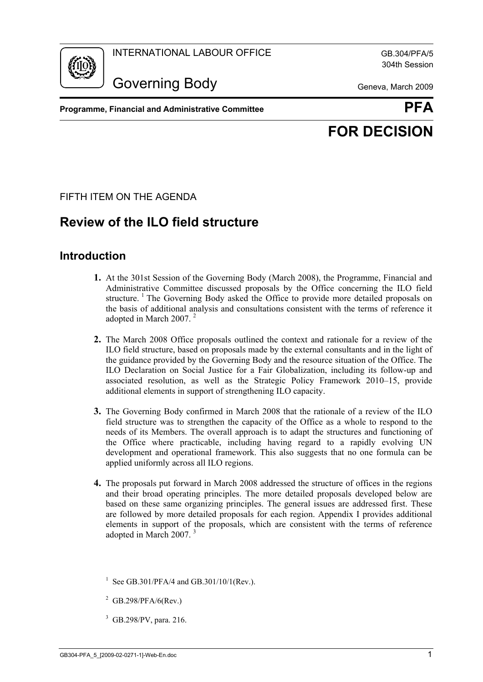

304th Session

Governing Body Geneva, March 2009

**Programme, Financial and Administrative Committee**  PEA



# **FOR DECISION**

FIFTH ITEM ON THE AGENDA

# **Review of the ILO field structure**

### **Introduction**

- **1.** At the 301st Session of the Governing Body (March 2008), the Programme, Financial and Administrative Committee discussed proposals by the Office concerning the ILO field structure.<sup>1</sup> The Governing Body asked the Office to provide more detailed proposals on the basis of additional analysis and consultations consistent with the terms of reference it adopted in March 2007. 2
- **2.** The March 2008 Office proposals outlined the context and rationale for a review of the ILO field structure, based on proposals made by the external consultants and in the light of the guidance provided by the Governing Body and the resource situation of the Office. The ILO Declaration on Social Justice for a Fair Globalization, including its follow-up and associated resolution, as well as the Strategic Policy Framework 2010–15, provide additional elements in support of strengthening ILO capacity.
- **3.** The Governing Body confirmed in March 2008 that the rationale of a review of the ILO field structure was to strengthen the capacity of the Office as a whole to respond to the needs of its Members. The overall approach is to adapt the structures and functioning of the Office where practicable, including having regard to a rapidly evolving UN development and operational framework. This also suggests that no one formula can be applied uniformly across all ILO regions.
- **4.** The proposals put forward in March 2008 addressed the structure of offices in the regions and their broad operating principles. The more detailed proposals developed below are based on these same organizing principles. The general issues are addressed first. These are followed by more detailed proposals for each region. Appendix I provides additional elements in support of the proposals, which are consistent with the terms of reference adopted in March 2007.<sup>3</sup>

<sup>3</sup> GB.298/PV, para. 216.

<sup>&</sup>lt;sup>1</sup> See GB.301/PFA/4 and GB.301/10/1(Rev.).

 $2$  GB.298/PFA/6(Rev.)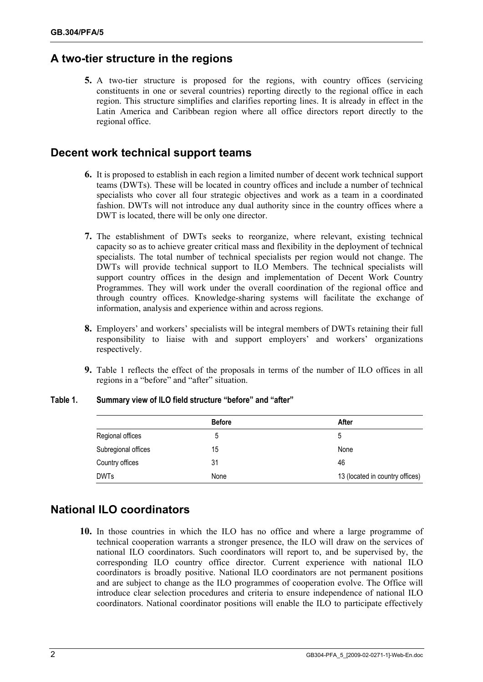### **A two-tier structure in the regions**

**5.** A two-tier structure is proposed for the regions, with country offices (servicing constituents in one or several countries) reporting directly to the regional office in each region. This structure simplifies and clarifies reporting lines. It is already in effect in the Latin America and Caribbean region where all office directors report directly to the regional office.

#### **Decent work technical support teams**

- **6.** It is proposed to establish in each region a limited number of decent work technical support teams (DWTs). These will be located in country offices and include a number of technical specialists who cover all four strategic objectives and work as a team in a coordinated fashion. DWTs will not introduce any dual authority since in the country offices where a DWT is located, there will be only one director.
- **7.** The establishment of DWTs seeks to reorganize, where relevant, existing technical capacity so as to achieve greater critical mass and flexibility in the deployment of technical specialists. The total number of technical specialists per region would not change. The DWTs will provide technical support to ILO Members. The technical specialists will support country offices in the design and implementation of Decent Work Country Programmes. They will work under the overall coordination of the regional office and through country offices. Knowledge-sharing systems will facilitate the exchange of information, analysis and experience within and across regions.
- **8.** Employers' and workers' specialists will be integral members of DWTs retaining their full responsibility to liaise with and support employers' and workers' organizations respectively.
- **9.** Table 1 reflects the effect of the proposals in terms of the number of ILO offices in all regions in a "before" and "after" situation.

|                     | <b>Before</b> | After                           |
|---------------------|---------------|---------------------------------|
| Regional offices    | ხ             | 5                               |
| Subregional offices | 15            | None                            |
| Country offices     | 31            | 46                              |
| <b>DWTs</b>         | None          | 13 (located in country offices) |

#### **Table 1. Summary view of ILO field structure "before" and "after"**

### **National ILO coordinators**

**10.** In those countries in which the ILO has no office and where a large programme of technical cooperation warrants a stronger presence, the ILO will draw on the services of national ILO coordinators. Such coordinators will report to, and be supervised by, the corresponding ILO country office director. Current experience with national ILO coordinators is broadly positive. National ILO coordinators are not permanent positions and are subject to change as the ILO programmes of cooperation evolve. The Office will introduce clear selection procedures and criteria to ensure independence of national ILO coordinators. National coordinator positions will enable the ILO to participate effectively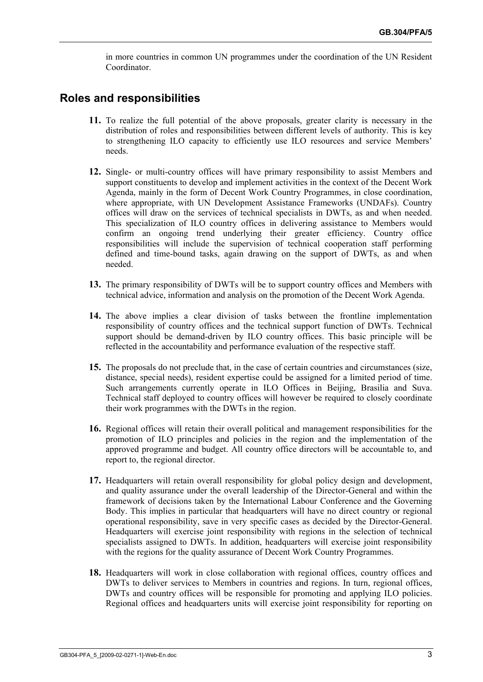in more countries in common UN programmes under the coordination of the UN Resident Coordinator.

#### **Roles and responsibilities**

- **11.** To realize the full potential of the above proposals, greater clarity is necessary in the distribution of roles and responsibilities between different levels of authority. This is key to strengthening ILO capacity to efficiently use ILO resources and service Members' needs.
- **12.** Single- or multi-country offices will have primary responsibility to assist Members and support constituents to develop and implement activities in the context of the Decent Work Agenda, mainly in the form of Decent Work Country Programmes, in close coordination, where appropriate, with UN Development Assistance Frameworks (UNDAFs). Country offices will draw on the services of technical specialists in DWTs, as and when needed. This specialization of ILO country offices in delivering assistance to Members would confirm an ongoing trend underlying their greater efficiency. Country office responsibilities will include the supervision of technical cooperation staff performing defined and time-bound tasks, again drawing on the support of DWTs, as and when needed.
- **13.** The primary responsibility of DWTs will be to support country offices and Members with technical advice, information and analysis on the promotion of the Decent Work Agenda.
- **14.** The above implies a clear division of tasks between the frontline implementation responsibility of country offices and the technical support function of DWTs. Technical support should be demand-driven by ILO country offices. This basic principle will be reflected in the accountability and performance evaluation of the respective staff.
- **15.** The proposals do not preclude that, in the case of certain countries and circumstances (size, distance, special needs), resident expertise could be assigned for a limited period of time. Such arrangements currently operate in ILO Offices in Beijing, Brasilia and Suva. Technical staff deployed to country offices will however be required to closely coordinate their work programmes with the DWTs in the region.
- **16.** Regional offices will retain their overall political and management responsibilities for the promotion of ILO principles and policies in the region and the implementation of the approved programme and budget. All country office directors will be accountable to, and report to, the regional director.
- **17.** Headquarters will retain overall responsibility for global policy design and development, and quality assurance under the overall leadership of the Director-General and within the framework of decisions taken by the International Labour Conference and the Governing Body. This implies in particular that headquarters will have no direct country or regional operational responsibility, save in very specific cases as decided by the Director-General. Headquarters will exercise joint responsibility with regions in the selection of technical specialists assigned to DWTs. In addition, headquarters will exercise joint responsibility with the regions for the quality assurance of Decent Work Country Programmes.
- **18.** Headquarters will work in close collaboration with regional offices, country offices and DWTs to deliver services to Members in countries and regions. In turn, regional offices, DWTs and country offices will be responsible for promoting and applying ILO policies. Regional offices and headquarters units will exercise joint responsibility for reporting on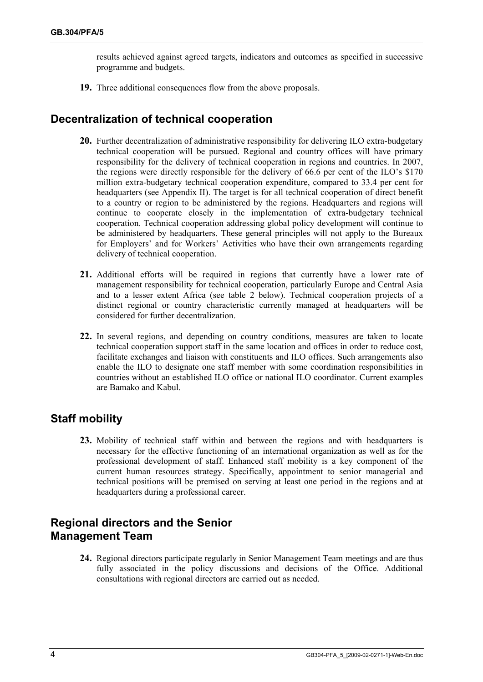results achieved against agreed targets, indicators and outcomes as specified in successive programme and budgets.

**19.** Three additional consequences flow from the above proposals.

### **Decentralization of technical cooperation**

- **20.** Further decentralization of administrative responsibility for delivering ILO extra-budgetary technical cooperation will be pursued. Regional and country offices will have primary responsibility for the delivery of technical cooperation in regions and countries. In 2007, the regions were directly responsible for the delivery of 66.6 per cent of the ILO's \$170 million extra-budgetary technical cooperation expenditure, compared to 33.4 per cent for headquarters (see Appendix II). The target is for all technical cooperation of direct benefit to a country or region to be administered by the regions. Headquarters and regions will continue to cooperate closely in the implementation of extra-budgetary technical cooperation. Technical cooperation addressing global policy development will continue to be administered by headquarters. These general principles will not apply to the Bureaux for Employers' and for Workers' Activities who have their own arrangements regarding delivery of technical cooperation.
- **21.** Additional efforts will be required in regions that currently have a lower rate of management responsibility for technical cooperation, particularly Europe and Central Asia and to a lesser extent Africa (see table 2 below). Technical cooperation projects of a distinct regional or country characteristic currently managed at headquarters will be considered for further decentralization.
- **22.** In several regions, and depending on country conditions, measures are taken to locate technical cooperation support staff in the same location and offices in order to reduce cost, facilitate exchanges and liaison with constituents and ILO offices. Such arrangements also enable the ILO to designate one staff member with some coordination responsibilities in countries without an established ILO office or national ILO coordinator. Current examples are Bamako and Kabul.

### **Staff mobility**

**23.** Mobility of technical staff within and between the regions and with headquarters is necessary for the effective functioning of an international organization as well as for the professional development of staff. Enhanced staff mobility is a key component of the current human resources strategy. Specifically, appointment to senior managerial and technical positions will be premised on serving at least one period in the regions and at headquarters during a professional career.

### **Regional directors and the Senior Management Team**

**24.** Regional directors participate regularly in Senior Management Team meetings and are thus fully associated in the policy discussions and decisions of the Office. Additional consultations with regional directors are carried out as needed.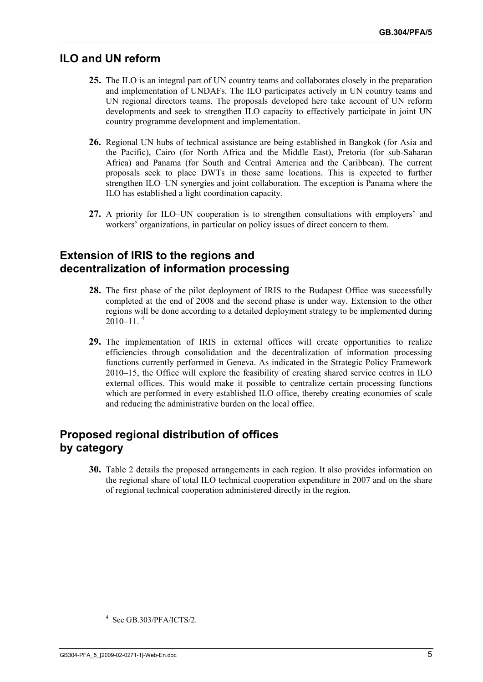#### **ILO and UN reform**

- **25.** The ILO is an integral part of UN country teams and collaborates closely in the preparation and implementation of UNDAFs. The ILO participates actively in UN country teams and UN regional directors teams. The proposals developed here take account of UN reform developments and seek to strengthen ILO capacity to effectively participate in joint UN country programme development and implementation.
- **26.** Regional UN hubs of technical assistance are being established in Bangkok (for Asia and the Pacific), Cairo (for North Africa and the Middle East), Pretoria (for sub-Saharan Africa) and Panama (for South and Central America and the Caribbean). The current proposals seek to place DWTs in those same locations. This is expected to further strengthen ILO–UN synergies and joint collaboration. The exception is Panama where the ILO has established a light coordination capacity.
- **27.** A priority for ILO–UN cooperation is to strengthen consultations with employers' and workers' organizations, in particular on policy issues of direct concern to them.

#### **Extension of IRIS to the regions and decentralization of information processing**

- **28.** The first phase of the pilot deployment of IRIS to the Budapest Office was successfully completed at the end of 2008 and the second phase is under way. Extension to the other regions will be done according to a detailed deployment strategy to be implemented during  $2010 - 11^{-4}$
- **29.** The implementation of IRIS in external offices will create opportunities to realize efficiencies through consolidation and the decentralization of information processing functions currently performed in Geneva. As indicated in the Strategic Policy Framework 2010–15, the Office will explore the feasibility of creating shared service centres in ILO external offices. This would make it possible to centralize certain processing functions which are performed in every established ILO office, thereby creating economies of scale and reducing the administrative burden on the local office.

### **Proposed regional distribution of offices by category**

**30.** Table 2 details the proposed arrangements in each region. It also provides information on the regional share of total ILO technical cooperation expenditure in 2007 and on the share of regional technical cooperation administered directly in the region.

<sup>4</sup> See GB.303/PFA/ICTS/2.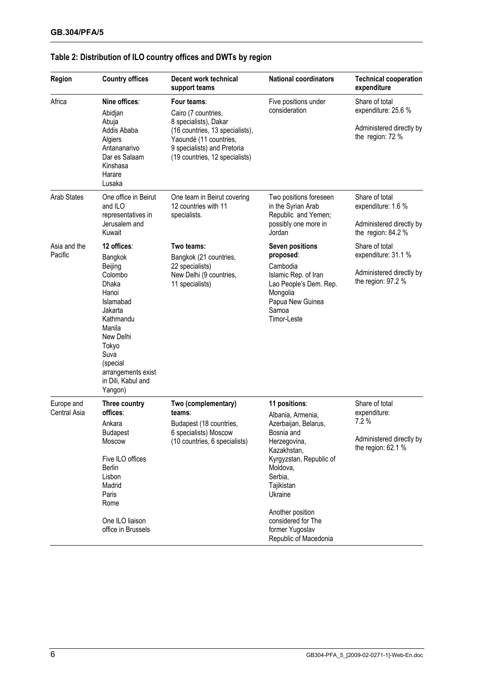| Region                     | <b>Country offices</b>                                                                                                                                                                                         | Decent work technical<br>support teams                                                                                                                                                    | <b>National coordinators</b>                                                                                                                                                                                                                                             | <b>Technical cooperation</b><br>expenditure                                              |
|----------------------------|----------------------------------------------------------------------------------------------------------------------------------------------------------------------------------------------------------------|-------------------------------------------------------------------------------------------------------------------------------------------------------------------------------------------|--------------------------------------------------------------------------------------------------------------------------------------------------------------------------------------------------------------------------------------------------------------------------|------------------------------------------------------------------------------------------|
| Africa                     | Nine offices:<br>Abidjan<br>Abuja<br>Addis Ababa<br>Algiers<br>Antananarivo<br>Dar es Salaam<br>Kinshasa<br>Harare<br>Lusaka                                                                                   | Four teams:<br>Cairo (7 countries,<br>8 specialists), Dakar<br>(16 countries, 13 specialists),<br>Yaoundé (11 countries,<br>9 specialists) and Pretoria<br>(19 countries, 12 specialists) | Five positions under<br>consideration                                                                                                                                                                                                                                    | Share of total<br>expenditure: 25.6 %<br>Administered directly by<br>the region: 72 %    |
| <b>Arab States</b>         | One office in Beirut<br>and ILO<br>representatives in<br>Jerusalem and<br>Kuwait                                                                                                                               | One team in Beirut covering<br>12 countries with 11<br>specialists.                                                                                                                       | Two positions foreseen<br>in the Syrian Arab<br>Republic and Yemen;<br>possibly one more in<br>Jordan                                                                                                                                                                    | Share of total<br>expenditure: 1.6 %<br>Administered directly by<br>the region: 84.2 %   |
| Asia and the<br>Pacific    | 12 offices:<br>Bangkok<br>Beijing<br>Colombo<br>Dhaka<br>Hanoi<br>Islamabad<br>Jakarta<br>Kathmandu<br>Manila<br>New Delhi<br>Tokyo<br>Suva<br>(special<br>arrangements exist<br>in Dili, Kabul and<br>Yangon) | Two teams:<br>Bangkok (21 countries,<br>22 specialists)<br>New Delhi (9 countries,<br>11 specialists)                                                                                     | <b>Seven positions</b><br>proposed:<br>Cambodia<br>Islamic Rep. of Iran<br>Lao People's Dem. Rep.<br>Mongolia<br>Papua New Guinea<br>Samoa<br>Timor-Leste                                                                                                                | Share of total<br>expenditure: 31.1 %<br>Administered directly by<br>the region: $97.2%$ |
| Europe and<br>Central Asia | Three country<br>offices:<br>Ankara<br><b>Budapest</b><br><b>Moscow</b><br>Five ILO offices<br><b>Berlin</b><br>Lisbon<br>Madrid<br>Paris<br>Rome<br>One ILO liaison<br>office in Brussels                     | Two (complementary)<br>teams∶<br>Budapest (18 countries,<br>6 specialists) Moscow<br>(10 countries, 6 specialists)                                                                        | 11 positions:<br>Albania, Armenia,<br>Azerbaijan, Belarus,<br>Bosnia and<br>Herzegovina,<br>Kazakhstan,<br>Kyrgyzstan, Republic of<br>Moldova,<br>Serbia,<br>Tajikistan<br>Ukraine<br>Another position<br>considered for The<br>former Yugoslav<br>Republic of Macedonia | Share of total<br>expenditure:<br>7.2%<br>Administered directly by<br>the region: 62.1 % |

#### **Table 2: Distribution of ILO country offices and DWTs by region**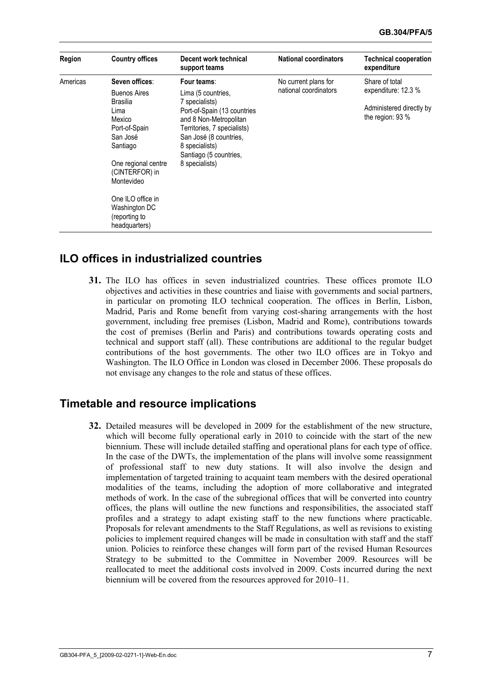| Region   | <b>Country offices</b>                                                                           | Decent work technical<br>support teams                                                                                                                                                         | <b>National coordinators</b> | <b>Technical cooperation</b><br>expenditure  |  |
|----------|--------------------------------------------------------------------------------------------------|------------------------------------------------------------------------------------------------------------------------------------------------------------------------------------------------|------------------------------|----------------------------------------------|--|
| Americas | Seven offices:                                                                                   | Four teams:                                                                                                                                                                                    | No current plans for         | Share of total                               |  |
|          | <b>Buenos Aires</b><br>Brasilia                                                                  | Lima (5 countries,                                                                                                                                                                             | national coordinators        | expenditure: 12.3 %                          |  |
|          | Lima<br>Mexico<br>Port-of-Spain<br>San José<br>Santiago<br>One regional centre<br>(CINTERFOR) in | 7 specialists)<br>Port-of-Spain (13 countries<br>and 8 Non-Metropolitan<br>Territories, 7 specialists)<br>San José (8 countries,<br>8 specialists)<br>Santiago (5 countries,<br>8 specialists) |                              | Administered directly by<br>the region: 93 % |  |
|          | Montevideo<br>One ILO office in<br>Washington DC<br>(reporting to<br>headquarters)               |                                                                                                                                                                                                |                              |                                              |  |

#### **ILO offices in industrialized countries**

**31.** The ILO has offices in seven industrialized countries. These offices promote ILO objectives and activities in these countries and liaise with governments and social partners, in particular on promoting ILO technical cooperation. The offices in Berlin, Lisbon, Madrid, Paris and Rome benefit from varying cost-sharing arrangements with the host government, including free premises (Lisbon, Madrid and Rome), contributions towards the cost of premises (Berlin and Paris) and contributions towards operating costs and technical and support staff (all). These contributions are additional to the regular budget contributions of the host governments. The other two ILO offices are in Tokyo and Washington. The ILO Office in London was closed in December 2006. These proposals do not envisage any changes to the role and status of these offices.

#### **Timetable and resource implications**

**32.** Detailed measures will be developed in 2009 for the establishment of the new structure, which will become fully operational early in 2010 to coincide with the start of the new biennium. These will include detailed staffing and operational plans for each type of office. In the case of the DWTs, the implementation of the plans will involve some reassignment of professional staff to new duty stations. It will also involve the design and implementation of targeted training to acquaint team members with the desired operational modalities of the teams, including the adoption of more collaborative and integrated methods of work. In the case of the subregional offices that will be converted into country offices, the plans will outline the new functions and responsibilities, the associated staff profiles and a strategy to adapt existing staff to the new functions where practicable. Proposals for relevant amendments to the Staff Regulations, as well as revisions to existing policies to implement required changes will be made in consultation with staff and the staff union. Policies to reinforce these changes will form part of the revised Human Resources Strategy to be submitted to the Committee in November 2009. Resources will be reallocated to meet the additional costs involved in 2009. Costs incurred during the next biennium will be covered from the resources approved for 2010–11.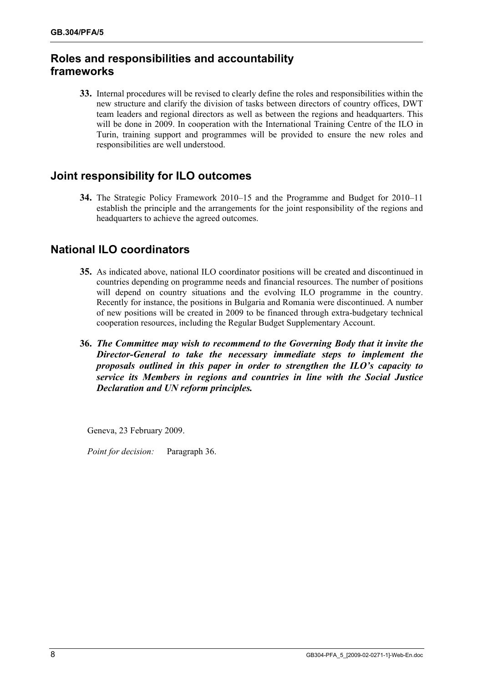### **Roles and responsibilities and accountability frameworks**

**33.** Internal procedures will be revised to clearly define the roles and responsibilities within the new structure and clarify the division of tasks between directors of country offices, DWT team leaders and regional directors as well as between the regions and headquarters. This will be done in 2009. In cooperation with the International Training Centre of the ILO in Turin, training support and programmes will be provided to ensure the new roles and responsibilities are well understood.

### **Joint responsibility for ILO outcomes**

**34.** The Strategic Policy Framework 2010–15 and the Programme and Budget for 2010–11 establish the principle and the arrangements for the joint responsibility of the regions and headquarters to achieve the agreed outcomes.

### **National ILO coordinators**

- **35.** As indicated above, national ILO coordinator positions will be created and discontinued in countries depending on programme needs and financial resources. The number of positions will depend on country situations and the evolving ILO programme in the country. Recently for instance, the positions in Bulgaria and Romania were discontinued. A number of new positions will be created in 2009 to be financed through extra-budgetary technical cooperation resources, including the Regular Budget Supplementary Account.
- **36.** *The Committee may wish to recommend to the Governing Body that it invite the Director-General to take the necessary immediate steps to implement the proposals outlined in this paper in order to strengthen the ILO's capacity to service its Members in regions and countries in line with the Social Justice Declaration and UN reform principles.*

Geneva, 23 February 2009.

*Point for decision:* Paragraph 36.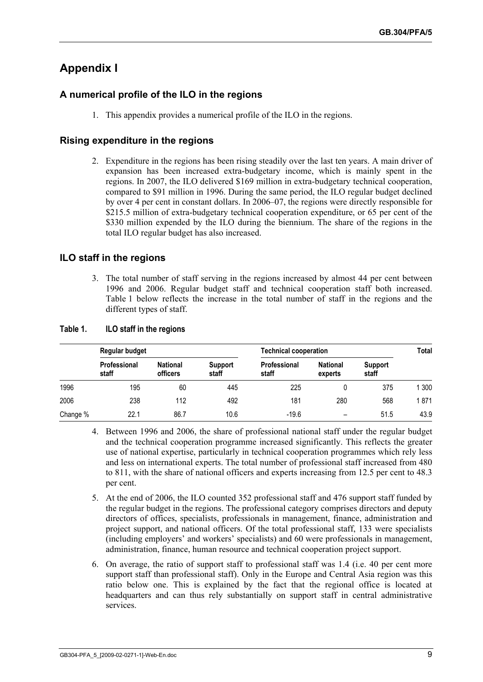### **Appendix I**

#### **A numerical profile of the ILO in the regions**

1. This appendix provides a numerical profile of the ILO in the regions.

#### **Rising expenditure in the regions**

2. Expenditure in the regions has been rising steadily over the last ten years. A main driver of expansion has been increased extra-budgetary income, which is mainly spent in the regions. In 2007, the ILO delivered \$169 million in extra-budgetary technical cooperation, compared to \$91 million in 1996. During the same period, the ILO regular budget declined by over 4 per cent in constant dollars. In 2006–07, the regions were directly responsible for \$215.5 million of extra-budgetary technical cooperation expenditure, or 65 per cent of the \$330 million expended by the ILO during the biennium. The share of the regions in the total ILO regular budget has also increased.

#### **ILO staff in the regions**

3. The total number of staff serving in the regions increased by almost 44 per cent between 1996 and 2006. Regular budget staff and technical cooperation staff both increased. Table 1 below reflects the increase in the total number of staff in the regions and the different types of staff.

|          | Regular budget        |                             | <b>Technical cooperation</b> | Total                 |                            |                         |      |
|----------|-----------------------|-----------------------------|------------------------------|-----------------------|----------------------------|-------------------------|------|
|          | Professional<br>staff | <b>National</b><br>officers | Support<br>staff             | Professional<br>staff | <b>National</b><br>experts | <b>Support</b><br>staff |      |
| 1996     | 195                   | 60                          | 445                          | 225                   |                            | 375                     | 300  |
| 2006     | 238                   | 112                         | 492                          | 181                   | 280                        | 568                     | 1871 |
| Change % | 22.1                  | 86.7                        | 10.6                         | $-19.6$               | -                          | 51.5                    | 43.9 |

#### **Table 1. ILO staff in the regions**

- 4. Between 1996 and 2006, the share of professional national staff under the regular budget and the technical cooperation programme increased significantly. This reflects the greater use of national expertise, particularly in technical cooperation programmes which rely less and less on international experts. The total number of professional staff increased from 480 to 811, with the share of national officers and experts increasing from 12.5 per cent to 48.3 per cent.
- 5. At the end of 2006, the ILO counted 352 professional staff and 476 support staff funded by the regular budget in the regions. The professional category comprises directors and deputy directors of offices, specialists, professionals in management, finance, administration and project support, and national officers. Of the total professional staff, 133 were specialists (including employers' and workers' specialists) and 60 were professionals in management, administration, finance, human resource and technical cooperation project support.
- 6. On average, the ratio of support staff to professional staff was 1.4 (i.e. 40 per cent more support staff than professional staff). Only in the Europe and Central Asia region was this ratio below one. This is explained by the fact that the regional office is located at headquarters and can thus rely substantially on support staff in central administrative services.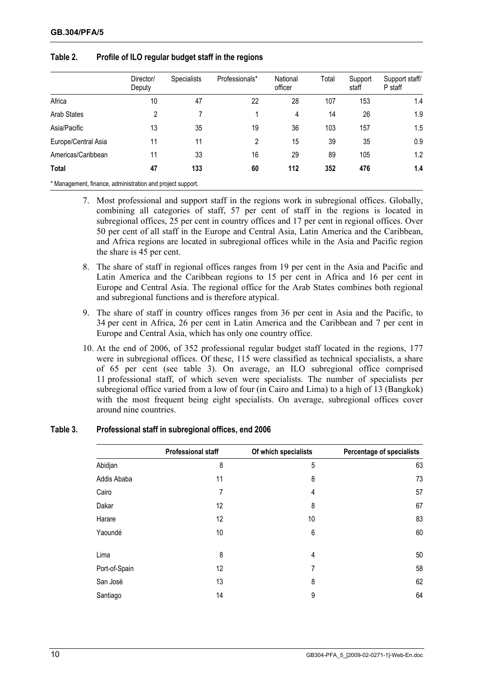|                                                            | Director/<br>Deputy | <b>Specialists</b> | Professionals* | National<br>officer | Total | Support<br>staff | Support staff/<br>P staff |
|------------------------------------------------------------|---------------------|--------------------|----------------|---------------------|-------|------------------|---------------------------|
| Africa                                                     | 10                  | 47                 | 22             | 28                  | 107   | 153              | 1.4                       |
| <b>Arab States</b>                                         | 2                   |                    |                | 4                   | 14    | 26               | 1.9                       |
| Asia/Pacific                                               | 13                  | 35                 | 19             | 36                  | 103   | 157              | 1.5                       |
| Europe/Central Asia                                        | 11                  | 11                 | 2              | 15                  | 39    | 35               | 0.9                       |
| Americas/Caribbean                                         | 11                  | 33                 | 16             | 29                  | 89    | 105              | 1.2                       |
| Total                                                      | 47                  | 133                | 60             | 112                 | 352   | 476              | 1.4                       |
| * Management, finance, administration and project support. |                     |                    |                |                     |       |                  |                           |

#### **Table 2. Profile of ILO regular budget staff in the regions**

- 7. Most professional and support staff in the regions work in subregional offices. Globally, combining all categories of staff, 57 per cent of staff in the regions is located in subregional offices, 25 per cent in country offices and 17 per cent in regional offices. Over 50 per cent of all staff in the Europe and Central Asia, Latin America and the Caribbean, and Africa regions are located in subregional offices while in the Asia and Pacific region the share is 45 per cent.
- 8. The share of staff in regional offices ranges from 19 per cent in the Asia and Pacific and Latin America and the Caribbean regions to 15 per cent in Africa and 16 per cent in Europe and Central Asia. The regional office for the Arab States combines both regional and subregional functions and is therefore atypical.
- 9. The share of staff in country offices ranges from 36 per cent in Asia and the Pacific, to 34 per cent in Africa, 26 per cent in Latin America and the Caribbean and 7 per cent in Europe and Central Asia, which has only one country office.
- 10. At the end of 2006, of 352 professional regular budget staff located in the regions, 177 were in subregional offices. Of these, 115 were classified as technical specialists, a share of 65 per cent (see table 3). On average, an ILO subregional office comprised 11 professional staff, of which seven were specialists. The number of specialists per subregional office varied from a low of four (in Cairo and Lima) to a high of 13 (Bangkok) with the most frequent being eight specialists. On average, subregional offices cover around nine countries.

#### **Table 3. Professional staff in subregional offices, end 2006**

|               | <b>Professional staff</b> | Of which specialists | Percentage of specialists |
|---------------|---------------------------|----------------------|---------------------------|
| Abidjan       | 8                         | 5                    | 63                        |
| Addis Ababa   | 11                        | 8                    | 73                        |
| Cairo         | 7                         | 4                    | 57                        |
| Dakar         | 12                        | 8                    | 67                        |
| Harare        | 12                        | 10                   | 83                        |
| Yaoundé       | 10                        | 6                    | 60                        |
| Lima          | 8                         | 4                    | 50                        |
| Port-of-Spain | 12                        | 7                    | 58                        |
| San José      | 13                        | 8                    | 62                        |
| Santiago      | 14                        | 9                    | 64                        |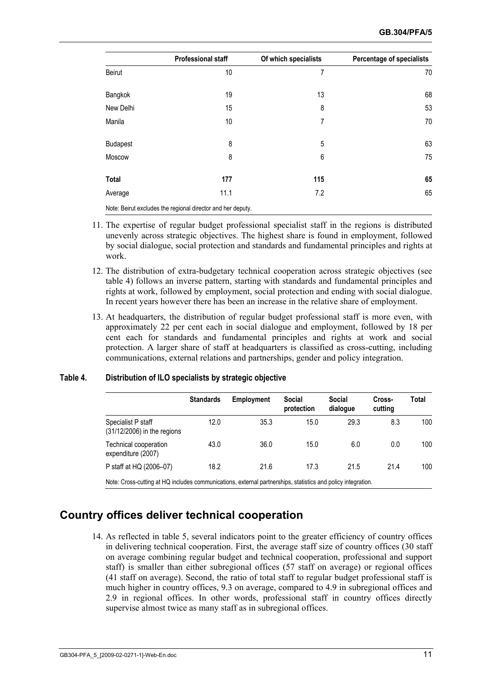|                 | <b>Professional staff</b>                                   | Of which specialists | <b>Percentage of specialists</b> |
|-----------------|-------------------------------------------------------------|----------------------|----------------------------------|
| Beirut          | 10                                                          | 7                    | 70                               |
| Bangkok         | 19                                                          | 13                   | 68                               |
| New Delhi       | 15                                                          | 8                    | 53                               |
| Manila          | 10                                                          | 7                    | 70                               |
| <b>Budapest</b> | 8                                                           | 5                    | 63                               |
| Moscow          | 8                                                           | 6                    | 75                               |
| <b>Total</b>    | 177                                                         | 115                  | 65                               |
| Average         | 11.1                                                        | 7.2                  | 65                               |
|                 | Note: Beirut excludes the regional director and her deputy. |                      |                                  |

- 11. The expertise of regular budget professional specialist staff in the regions is distributed unevenly across strategic objectives. The highest share is found in employment, followed by social dialogue, social protection and standards and fundamental principles and rights at work.
- 12. The distribution of extra-budgetary technical cooperation across strategic objectives (see table 4) follows an inverse pattern, starting with standards and fundamental principles and rights at work, followed by employment, social protection and ending with social dialogue. In recent years however there has been an increase in the relative share of employment.
- 13. At headquarters, the distribution of regular budget professional staff is more even, with approximately 22 per cent each in social dialogue and employment, followed by 18 per cent each for standards and fundamental principles and rights at work and social protection. A larger share of staff at headquarters is classified as cross-cutting, including communications, external relations and partnerships, gender and policy integration.

#### **Table 4. Distribution of ILO specialists by strategic objective**

|                                                                                                              | <b>Standards</b> | <b>Employment</b> | Social<br>protection | <b>Social</b><br>dialogue | Cross-<br>cutting | Total |
|--------------------------------------------------------------------------------------------------------------|------------------|-------------------|----------------------|---------------------------|-------------------|-------|
| Specialist P staff<br>(31/12/2006) in the regions                                                            | 12.0             | 35.3              | 15.0                 | 29.3                      | 8.3               | 100   |
| Technical cooperation<br>expenditure (2007)                                                                  | 43.0             | 36.0              | 15.0                 | 6.0                       | 0.0               | 100   |
| P staff at HQ (2006-07)                                                                                      | 18.2             | 21.6              | 17.3                 | 21.5                      | 21.4              | 100   |
| Note: Cross-cutting at HQ includes communications, external partnerships, statistics and policy integration. |                  |                   |                      |                           |                   |       |

### **Country offices deliver technical cooperation**

14. As reflected in table 5, several indicators point to the greater efficiency of country offices in delivering technical cooperation. First, the average staff size of country offices (30 staff on average combining regular budget and technical cooperation, professional and support staff) is smaller than either subregional offices (57 staff on average) or regional offices (41 staff on average). Second, the ratio of total staff to regular budget professional staff is much higher in country offices, 9.3 on average, compared to 4.9 in subregional offices and 2.9 in regional offices. In other words, professional staff in country offices directly supervise almost twice as many staff as in subregional offices.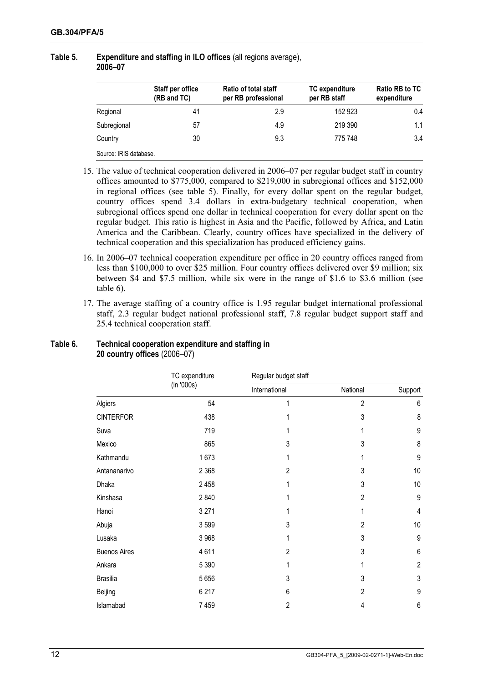#### **Table 5. Expenditure and staffing in ILO offices** (all regions average), **2006–07**

|                        | Staff per office<br>(RB and TC) | Ratio of total staff<br>per RB professional | TC expenditure<br>per RB staff | <b>Ratio RB to TC</b><br>expenditure |
|------------------------|---------------------------------|---------------------------------------------|--------------------------------|--------------------------------------|
| Regional               | 41                              | 2.9                                         | 152 923                        | 0.4                                  |
| Subregional            | 57                              | 4.9                                         | 219 390                        | 1.1                                  |
| Country                | 30                              | 9.3                                         | 775 748                        | 3.4                                  |
| Source: IRIS database. |                                 |                                             |                                |                                      |

- 15. The value of technical cooperation delivered in 2006–07 per regular budget staff in country offices amounted to \$775,000, compared to \$219,000 in subregional offices and \$152,000 in regional offices (see table 5). Finally, for every dollar spent on the regular budget, country offices spend 3.4 dollars in extra-budgetary technical cooperation, when subregional offices spend one dollar in technical cooperation for every dollar spent on the regular budget. This ratio is highest in Asia and the Pacific, followed by Africa, and Latin America and the Caribbean. Clearly, country offices have specialized in the delivery of technical cooperation and this specialization has produced efficiency gains.
- 16. In 2006–07 technical cooperation expenditure per office in 20 country offices ranged from less than \$100,000 to over \$25 million. Four country offices delivered over \$9 million; six between \$4 and \$7.5 million, while six were in the range of \$1.6 to \$3.6 million (see table 6).
- 17. The average staffing of a country office is 1.95 regular budget international professional staff, 2.3 regular budget national professional staff, 7.8 regular budget support staff and 25.4 technical cooperation staff.

|                     | TC expenditure | Regular budget staff |                |                |
|---------------------|----------------|----------------------|----------------|----------------|
|                     | (in '000s)     | International        | National       | Support        |
| Algiers             | 54             |                      | $\overline{2}$ | 6              |
| <b>CINTERFOR</b>    | 438            |                      | 3              | 8              |
| Suva                | 719            |                      |                | 9              |
| Mexico              | 865            | 3                    | 3              | 8              |
| Kathmandu           | 1673           | 1                    | 1              | 9              |
| Antananarivo        | 2 3 6 8        | $\overline{2}$       | 3              | 10             |
| Dhaka               | 2 4 5 8        |                      | 3              | 10             |
| Kinshasa            | 2840           |                      | $\overline{2}$ | 9              |
| Hanoi               | 3 2 7 1        | 1                    | 1              | 4              |
| Abuja               | 3599           | 3                    | 2              | 10             |
| Lusaka              | 3 9 6 8        | 1                    | 3              | 9              |
| <b>Buenos Aires</b> | 4611           | $\overline{2}$       | 3              | 6              |
| Ankara              | 5 3 9 0        | 1                    | 1              | $\overline{2}$ |
| <b>Brasilia</b>     | 5 6 5 6        | 3                    | 3              | 3              |
| Beijing             | 6 2 1 7        | 6                    | 2              | 9              |
| Islamabad           | 7 4 5 9        | $\overline{2}$       | 4              | 6              |

#### **Table 6. Technical cooperation expenditure and staffing in 20 country offices** (2006–07)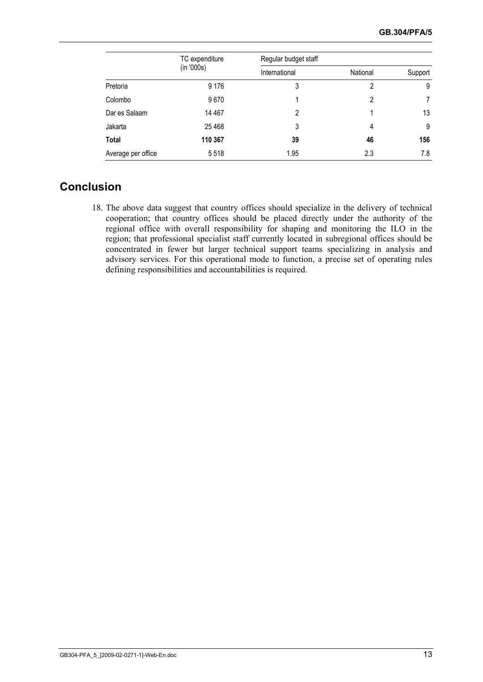|                    | TC expenditure<br>(in '000s) | Regular budget staff |          |         |
|--------------------|------------------------------|----------------------|----------|---------|
|                    |                              | International        | National | Support |
| Pretoria           | 9 1 7 6                      | 3                    | 2        | 9       |
| Colombo            | 9670                         |                      | 2        |         |
| Dar es Salaam      | 14 467                       | $\mathfrak{p}$       |          | 13      |
| Jakarta            | 25 4 68                      | 3                    | 4        | 9       |
| <b>Total</b>       | 110 367                      | 39                   | 46       | 156     |
| Average per office | 5518                         | 1.95                 | 2.3      | 7.8     |

### **Conclusion**

18. The above data suggest that country offices should specialize in the delivery of technical cooperation; that country offices should be placed directly under the authority of the regional office with overall responsibility for shaping and monitoring the ILO in the region; that professional specialist staff currently located in subregional offices should be concentrated in fewer but larger technical support teams specializing in analysis and advisory services. For this operational mode to function, a precise set of operating rules defining responsibilities and accountabilities is required.